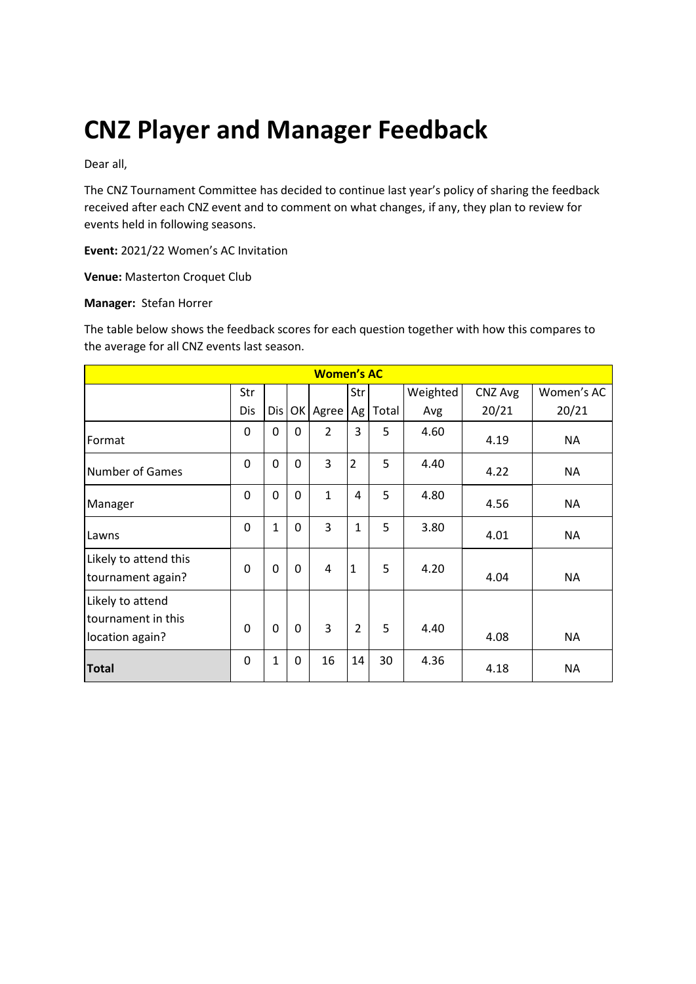# **CNZ Player and Manager Feedback**

Dear all,

The CNZ Tournament Committee has decided to continue last year's policy of sharing the feedback received after each CNZ event and to comment on what changes, if any, they plan to review for events held in following seasons.

**Event:** 2021/22 Women's AC Invitation

**Venue:** Masterton Croquet Club

#### **Manager:** Stefan Horrer

The table below shows the feedback scores for each question together with how this compares to the average for all CNZ events last season.

| <b>Women's AC</b>                                         |          |              |             |                |                |       |          |         |            |
|-----------------------------------------------------------|----------|--------------|-------------|----------------|----------------|-------|----------|---------|------------|
|                                                           | Str      |              |             |                | Str            |       | Weighted | CNZ Avg | Women's AC |
|                                                           | Dis      | Dis          |             | OK Agree       | Ag             | Total | Avg      | 20/21   | 20/21      |
| Format                                                    | 0        | 0            | $\Omega$    | $\overline{2}$ | 3              | 5     | 4.60     | 4.19    | <b>NA</b>  |
| <b>Number of Games</b>                                    | 0        | 0            | 0           | 3              | $\overline{2}$ | 5     | 4.40     | 4.22    | <b>NA</b>  |
| Manager                                                   | 0        | 0            | $\mathbf 0$ | $\mathbf{1}$   | 4              | 5     | 4.80     | 4.56    | <b>NA</b>  |
| Lawns                                                     | 0        | $\mathbf{1}$ | 0           | 3              | $\mathbf{1}$   | 5     | 3.80     | 4.01    | <b>NA</b>  |
| Likely to attend this<br>tournament again?                | $\Omega$ | 0            | $\mathbf 0$ | 4              | $\mathbf{1}$   | 5     | 4.20     | 4.04    | <b>NA</b>  |
| Likely to attend<br>tournament in this<br>location again? | $\Omega$ | $\Omega$     | $\mathbf 0$ | 3              | $\overline{2}$ | 5     | 4.40     | 4.08    | <b>NA</b>  |
| <b>Total</b>                                              | 0        | 1            | 0           | 16             | 14             | 30    | 4.36     | 4.18    | <b>NA</b>  |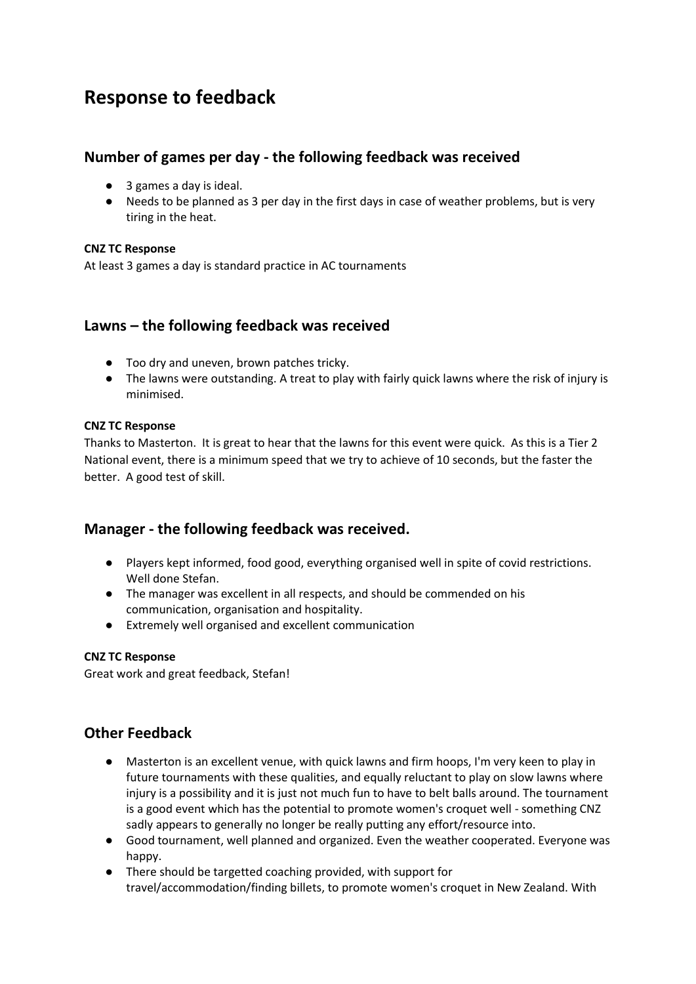# **Response to feedback**

# **Number of games per day - the following feedback was received**

- 3 games a day is ideal.
- Needs to be planned as 3 per day in the first days in case of weather problems, but is very tiring in the heat.

#### **CNZ TC Response**

At least 3 games a day is standard practice in AC tournaments

## **Lawns – the following feedback was received**

- Too dry and uneven, brown patches tricky.
- The lawns were outstanding. A treat to play with fairly quick lawns where the risk of injury is minimised.

#### **CNZ TC Response**

Thanks to Masterton. It is great to hear that the lawns for this event were quick. As this is a Tier 2 National event, there is a minimum speed that we try to achieve of 10 seconds, but the faster the better. A good test of skill.

## **Manager - the following feedback was received.**

- Players kept informed, food good, everything organised well in spite of covid restrictions. Well done Stefan.
- The manager was excellent in all respects, and should be commended on his communication, organisation and hospitality.
- Extremely well organised and excellent communication

#### **CNZ TC Response**

Great work and great feedback, Stefan!

# **Other Feedback**

- Masterton is an excellent venue, with quick lawns and firm hoops, I'm very keen to play in future tournaments with these qualities, and equally reluctant to play on slow lawns where injury is a possibility and it is just not much fun to have to belt balls around. The tournament is a good event which has the potential to promote women's croquet well - something CNZ sadly appears to generally no longer be really putting any effort/resource into.
- Good tournament, well planned and organized. Even the weather cooperated. Everyone was happy.
- There should be targetted coaching provided, with support for travel/accommodation/finding billets, to promote women's croquet in New Zealand. With